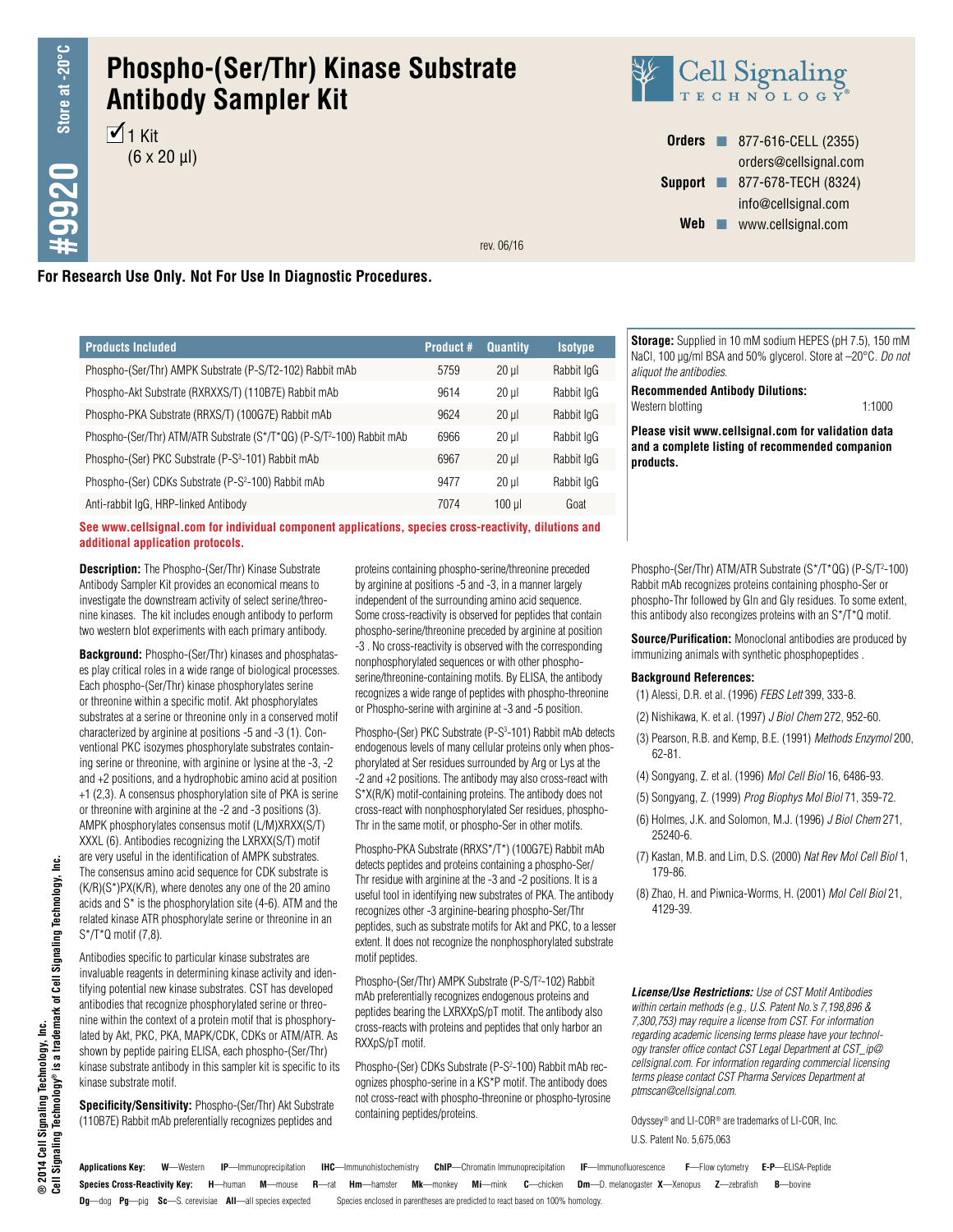# **Phospho-(Ser/Thr) Kinase Substrate Antibody Sampler Kit**

 $1$  Kit  $(6 \times 20 \text{ µ})$ 



**Orders n** 877-616-CELL (2355) orders@cellsignal.com **Support n** 877-678-TECH (8324) info@cellsignal.com Web www.cellsignal.com

rev. 06/16

# **For Research Use Only. Not For Use In Diagnostic Procedures.**

| <b>Products Included</b>                                                           | <b>Product #</b> | <b>Quantity</b> | <b>Isotype</b> |
|------------------------------------------------------------------------------------|------------------|-----------------|----------------|
| Phospho-(Ser/Thr) AMPK Substrate (P-S/T2-102) Rabbit mAb                           | 5759             | $20 \mu$        | Rabbit IgG     |
| Phospho-Akt Substrate (RXRXXS/T) (110B7E) Rabbit mAb                               | 9614             | $20 \mu$        | Rabbit IgG     |
| Phospho-PKA Substrate (RRXS/T) (100G7E) Rabbit mAb                                 | 9624             | $20 \mu$        | Rabbit IgG     |
| Phospho-(Ser/Thr) ATM/ATR Substrate (S*/T*QG) (P-S/T <sup>2</sup> -100) Rabbit mAb | 6966             | $20$ ul         | Rabbit IgG     |
| Phospho-(Ser) PKC Substrate (P-S <sup>3</sup> -101) Rabbit mAb                     | 6967             | $20$ ul         | Rabbit IgG     |
| Phospho-(Ser) CDKs Substrate (P-S <sup>2</sup> -100) Rabbit mAb                    | 9477             | $20$ ul         | Rabbit IgG     |
| Anti-rabbit IgG, HRP-linked Antibody                                               | 7074             | $100$ ul        | Goat           |

**See www.cellsignal.com for individual component applications, species cross-reactivity, dilutions and additional application protocols.**

**Description:** The Phospho-(Ser/Thr) Kinase Substrate Antibody Sampler Kit provides an economical means to investigate the downstream activity of select serine/threonine kinases. The kit includes enough antibody to perform two western blot experiments with each primary antibody.

**Background:** Phospho-(Ser/Thr) kinases and phosphatases play critical roles in a wide range of biological processes. Each phospho-(Ser/Thr) kinase phosphorylates serine or threonine within a specific motif. Akt phosphorylates substrates at a serine or threonine only in a conserved motif characterized by arginine at positions -5 and -3 (1). Conventional PKC isozymes phosphorylate substrates containing serine or threonine, with arginine or lysine at the -3, -2 and +2 positions, and a hydrophobic amino acid at position +1 (2,3). A consensus phosphorylation site of PKA is serine or threonine with arginine at the -2 and -3 positions (3). AMPK phosphorylates consensus motif (L/M)XRXX(S/T) XXXL (6). Antibodies recognizing the LXRXX(S/T) motif are very useful in the identification of AMPK substrates. The consensus amino acid sequence for CDK substrate is (K/R)(S\*)PX(K/R), where denotes any one of the 20 amino acids and S\* is the phosphorylation site (4-6). ATM and the related kinase ATR phosphorylate serine or threonine in an S\*/T\*Q motif (7,8).

Antibodies specific to particular kinase substrates are invaluable reagents in determining kinase activity and identifying potential new kinase substrates. CST has developed antibodies that recognize phosphorylated serine or threonine within the context of a protein motif that is phosphorylated by Akt, PKC, PKA, MAPK/CDK, CDKs or ATM/ATR. As shown by peptide pairing ELISA, each phospho-(Ser/Thr) kinase substrate antibody in this sampler kit is specific to its kinase substrate motif.

**Specificity/Sensitivity:** Phospho-(Ser/Thr) Akt Substrate (110B7E) Rabbit mAb preferentially recognizes peptides and

proteins containing phospho-serine/threonine preceded by arginine at positions -5 and -3, in a manner largely independent of the surrounding amino acid sequence. Some cross-reactivity is observed for peptides that contain phospho-serine/threonine preceded by arginine at position -3 . No cross-reactivity is observed with the corresponding nonphosphorylated sequences or with other phosphoserine/threonine-containing motifs. By ELISA, the antibody recognizes a wide range of peptides with phospho-threonine or Phospho-serine with arginine at -3 and -5 position.

Phospho-(Ser) PKC Substrate (P-S<sup>3</sup>-101) Rabbit mAb detects endogenous levels of many cellular proteins only when phosphorylated at Ser residues surrounded by Arg or Lys at the -2 and +2 positions. The antibody may also cross-react with S\*X(R/K) motif-containing proteins. The antibody does not cross-react with nonphosphorylated Ser residues, phospho-Thr in the same motif, or phospho-Ser in other motifs.

Phospho-PKA Substrate (RRXS\*/T\*) (100G7E) Rabbit mAb detects peptides and proteins containing a phospho-Ser/ Thr residue with arginine at the -3 and -2 positions. It is a useful tool in identifying new substrates of PKA. The antibody recognizes other -3 arginine-bearing phospho-Ser/Thr peptides, such as substrate motifs for Akt and PKC, to a lesser extent. It does not recognize the nonphosphorylated substrate motif peptides.

Phospho-(Ser/Thr) AMPK Substrate (P-S/T<sup>2</sup>-102) Rabbit mAb preferentially recognizes endogenous proteins and peptides bearing the LXRXXpS/pT motif. The antibody also cross-reacts with proteins and peptides that only harbor an RXXpS/pT motif.

Phospho-(Ser) CDKs Substrate (P-S<sup>2</sup>-100) Rabbit mAb recognizes phospho-serine in a KS\*P motif. The antibody does not cross-react with phospho-threonine or phospho-tyrosine containing peptides/proteins.

**Storage:** Supplied in 10 mM sodium HEPES (pH 7.5), 150 mM NaCl, 100 µg/ml BSA and 50% glycerol. Store at –20°C. *Do not aliquot the antibodies*.

**Recommended Antibody Dilutions:** Western blotting 1:1000

**Please visit www.cellsignal.com for validation data and a complete listing of recommended companion products.**

Phospho-(Ser/Thr) ATM/ATR Substrate (S\*/T\*QG) (P-S/T<sup>2</sup>-100) Rabbit mAb recognizes proteins containing phospho-Ser or phospho-Thr followed by Gln and Gly residues. To some extent, this antibody also recongizes proteins with an S\*/T\*Q motif.

**Source/Purification:** Monoclonal antibodies are produced by immunizing animals with synthetic phosphopeptides .

#### **Background References:**

- (1) Alessi, D.R. et al. (1996) *FEBS Lett* 399, 333-8.
- (2) Nishikawa, K. et al. (1997) *J Biol Chem* 272, 952-60.
- (3) Pearson, R.B. and Kemp, B.E. (1991) *Methods Enzymol* 200, 62-81.
- (4) Songyang, Z. et al. (1996) *Mol Cell Biol* 16, 6486-93.
- (5) Songyang, Z. (1999) *Prog Biophys Mol Biol* 71, 359-72.
- (6) Holmes, J.K. and Solomon, M.J. (1996) *J Biol Chem* 271, 25240-6.
- (7) Kastan, M.B. and Lim, D.S. (2000) *Nat Rev Mol Cell Biol* 1, 179-86.
- (8) Zhao, H. and Piwnica-Worms, H. (2001) *Mol Cell Biol* 21, 4129-39.

*License/Use Restrictions: Use of CST Motif Antibodies within certain methods (e.g., U.S. Patent No.'s 7,198,896 & 7,300,753) may require a license from CST. For information regarding academic licensing terms please have your technology transfer office contact CST Legal Department at CST\_ip@ cellsignal.com. For information regarding commercial licensing terms please contact CST Pharma Services Department at ptmscan@cellsignal.com.*

U.S. Patent No. 5,675,063 Odyssey® and LI-COR® are trademarks of LI-COR, Inc.

**Species Cross-Reactivity Key: H**—human **M**—mouse **R**—rat **Hm**—hamster **Mk**—monkey **Mi**—mink **C**—chicken **Dm**—D. melanogaster **X**—Xenopus **Z**—zebrafish **B**—bovine **Dg**—dog **Pg**—pig **Sc**—S. cerevisiae **All**—all species expected Species enclosed in parentheses are predicted to react based on 100% homology. **Applications Key: W**—Western **IP**—Immunoprecipitation **IHC**—Immunohistochemistry **ChIP**—Chromatin Immunoprecipitation **IF**—Immunofluorescence **F**—Flow cytometry **E-P**—ELISA-Peptide